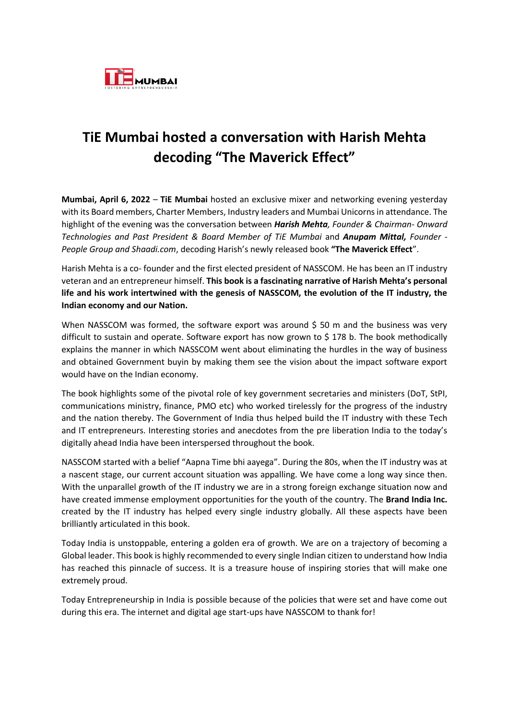

## **TiE Mumbai hosted a conversation with Harish Mehta decoding "The Maverick Effect"**

**Mumbai, April 6, 2022** – **TiE Mumbai** hosted an exclusive mixer and networking evening yesterday with its Board members, Charter Members, Industry leaders and Mumbai Unicorns in attendance. The highlight of the evening was the conversation between *Harish Mehta, Founder & Chairman- Onward Technologies and Past President & Board Member of TiE Mumbai* and *Anupam Mittal, Founder - People Group and Shaadi.com*, decoding Harish's newly released book **"The Maverick Effect**".

Harish Mehta is a co- founder and the first elected president of NASSCOM. He has been an IT industry veteran and an entrepreneur himself. **This book is a fascinating narrative of Harish Mehta's personal life and his work intertwined with the genesis of NASSCOM, the evolution of the IT industry, the Indian economy and our Nation.**

When NASSCOM was formed, the software export was around \$ 50 m and the business was very difficult to sustain and operate. Software export has now grown to \$ 178 b. The book methodically explains the manner in which NASSCOM went about eliminating the hurdles in the way of business and obtained Government buyin by making them see the vision about the impact software export would have on the Indian economy.

The book highlights some of the pivotal role of key government secretaries and ministers (DoT, StPI, communications ministry, finance, PMO etc) who worked tirelessly for the progress of the industry and the nation thereby. The Government of India thus helped build the IT industry with these Tech and IT entrepreneurs. Interesting stories and anecdotes from the pre liberation India to the today's digitally ahead India have been interspersed throughout the book.

NASSCOM started with a belief "Aapna Time bhi aayega". During the 80s, when the IT industry was at a nascent stage, our current account situation was appalling. We have come a long way since then. With the unparallel growth of the IT industry we are in a strong foreign exchange situation now and have created immense employment opportunities for the youth of the country. The **Brand India Inc.** created by the IT industry has helped every single industry globally. All these aspects have been brilliantly articulated in this book.

Today India is unstoppable, entering a golden era of growth. We are on a trajectory of becoming a Global leader. This book is highly recommended to every single Indian citizen to understand how India has reached this pinnacle of success. It is a treasure house of inspiring stories that will make one extremely proud.

Today Entrepreneurship in India is possible because of the policies that were set and have come out during this era. The internet and digital age start-ups have NASSCOM to thank for!